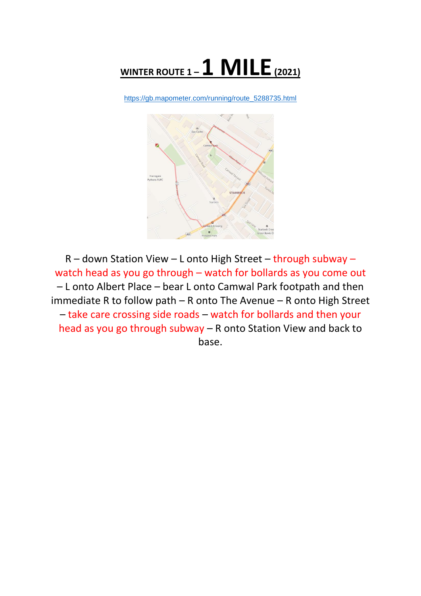

[https://gb.mapometer.com/running/route\\_5288735.html](https://gb.mapometer.com/running/route_5288735.html)



R – down Station View – L onto High Street – through subway – watch head as you go through – watch for bollards as you come out – L onto Albert Place – bear L onto Camwal Park footpath and then immediate R to follow path – R onto The Avenue – R onto High Street – take care crossing side roads – watch for bollards and then your head as you go through subway – R onto Station View and back to base.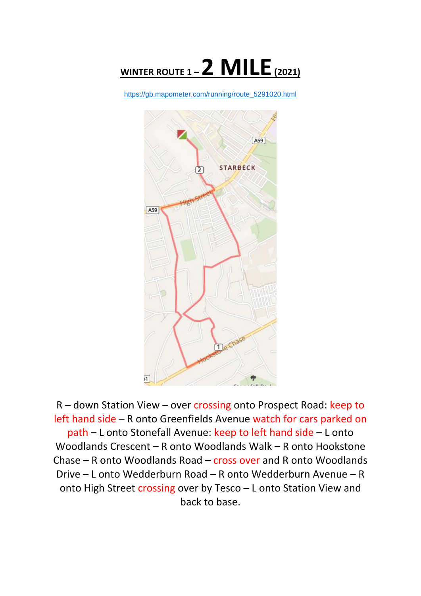

[https://gb.mapometer.com/running/route\\_5291020.html](https://gb.mapometer.com/running/route_5291020.html)



R – down Station View – over crossing onto Prospect Road: keep to left hand side – R onto Greenfields Avenue watch for cars parked on path – L onto Stonefall Avenue: keep to left hand side – L onto Woodlands Crescent – R onto Woodlands Walk – R onto Hookstone Chase – R onto Woodlands Road – cross over and R onto Woodlands Drive – L onto Wedderburn Road – R onto Wedderburn Avenue – R onto High Street crossing over by Tesco – L onto Station View and back to base.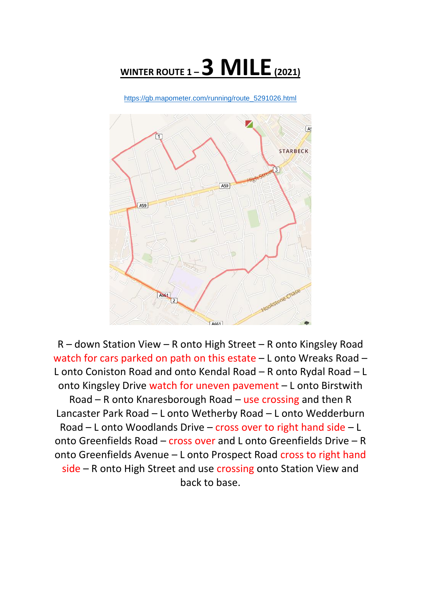

[https://gb.mapometer.com/running/route\\_5291026.html](https://gb.mapometer.com/running/route_5291026.html)



R – down Station View – R onto High Street – R onto Kingsley Road watch for cars parked on path on this estate – L onto Wreaks Road – L onto Coniston Road and onto Kendal Road – R onto Rydal Road – L onto Kingsley Drive watch for uneven pavement – L onto Birstwith Road – R onto Knaresborough Road – use crossing and then R Lancaster Park Road – L onto Wetherby Road – L onto Wedderburn Road – L onto Woodlands Drive – cross over to right hand side – L onto Greenfields Road – cross over and L onto Greenfields Drive – R onto Greenfields Avenue – L onto Prospect Road cross to right hand side – R onto High Street and use crossing onto Station View and back to base.